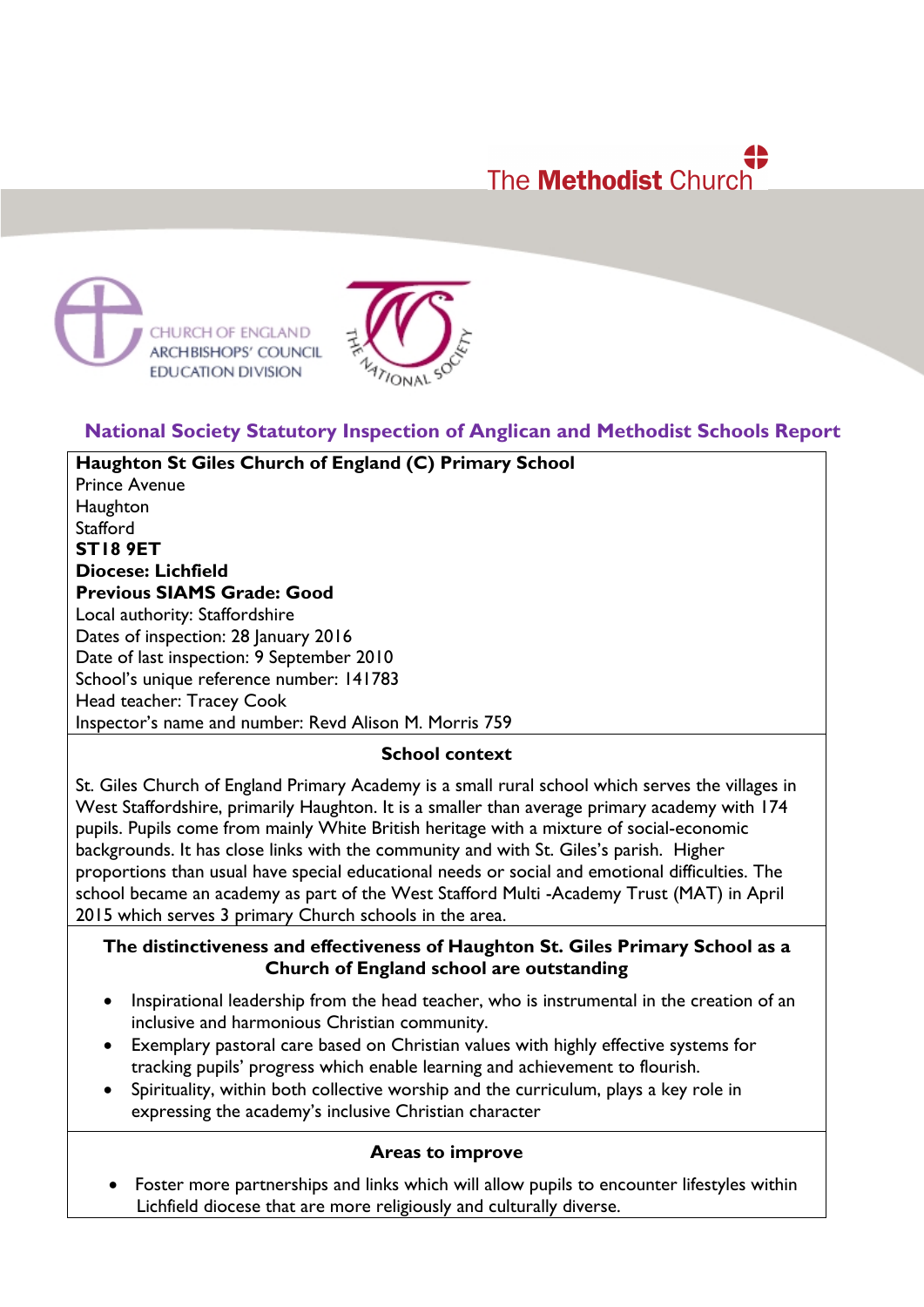# The **Methodist** Church





## **National Society Statutory Inspection of Anglican and Methodist Schools Report**

**Haughton St Giles Church of England (C) Primary School** Prince Avenue **Haughton Stafford ST18 9ET Diocese: Lichfield Previous SIAMS Grade: Good** Local authority: Staffordshire Dates of inspection: 28 January 2016 Date of last inspection: 9 September 2010 School's unique reference number: 141783 Head teacher: Tracey Cook Inspector's name and number: Revd Alison M. Morris 759

#### **School context**

St. Giles Church of England Primary Academy is a small rural school which serves the villages in West Staffordshire, primarily Haughton. It is a smaller than average primary academy with 174 pupils. Pupils come from mainly White British heritage with a mixture of social-economic backgrounds. It has close links with the community and with St. Giles's parish. Higher proportions than usual have special educational needs or social and emotional difficulties. The school became an academy as part of the West Stafford Multi -Academy Trust (MAT) in April 2015 which serves 3 primary Church schools in the area.

### **The distinctiveness and effectiveness of Haughton St. Giles Primary School as a Church of England school are outstanding**

- Inspirational leadership from the head teacher, who is instrumental in the creation of an inclusive and harmonious Christian community.
- Exemplary pastoral care based on Christian values with highly effective systems for tracking pupils' progress which enable learning and achievement to flourish.
- Spirituality, within both collective worship and the curriculum, plays a key role in expressing the academy's inclusive Christian character

## **Areas to improve**

• Foster more partnerships and links which will allow pupils to encounter lifestyles within Lichfield diocese that are more religiously and culturally diverse.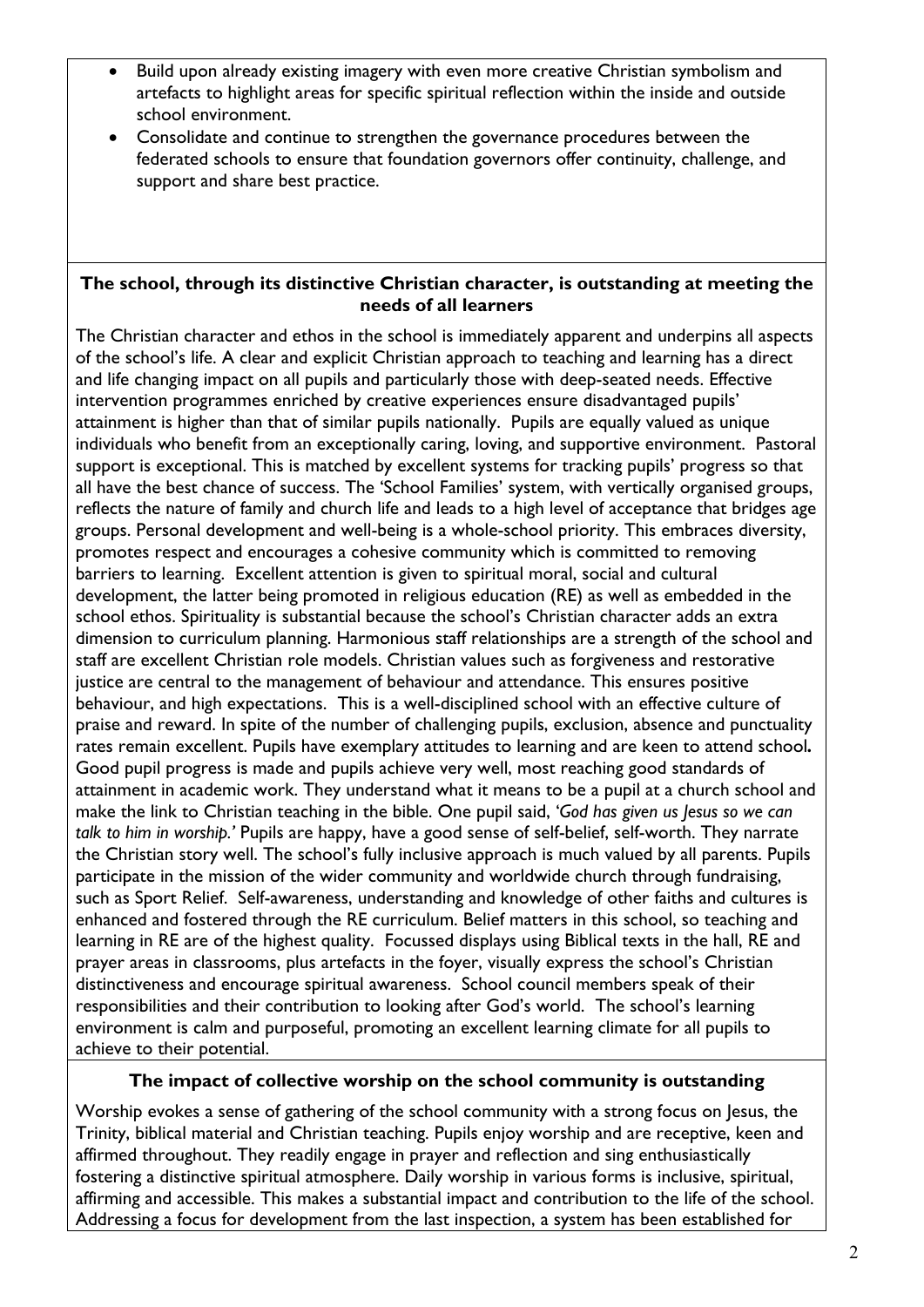- Build upon already existing imagery with even more creative Christian symbolism and artefacts to highlight areas for specific spiritual reflection within the inside and outside school environment.
- Consolidate and continue to strengthen the governance procedures between the federated schools to ensure that foundation governors offer continuity, challenge, and support and share best practice.

#### **The school, through its distinctive Christian character, is outstanding at meeting the needs of all learners**

The Christian character and ethos in the school is immediately apparent and underpins all aspects of the school's life. A clear and explicit Christian approach to teaching and learning has a direct and life changing impact on all pupils and particularly those with deep-seated needs. Effective intervention programmes enriched by creative experiences ensure disadvantaged pupils' attainment is higher than that of similar pupils nationally. Pupils are equally valued as unique individuals who benefit from an exceptionally caring, loving, and supportive environment. Pastoral support is exceptional. This is matched by excellent systems for tracking pupils' progress so that all have the best chance of success. The 'School Families' system, with vertically organised groups, reflects the nature of family and church life and leads to a high level of acceptance that bridges age groups. Personal development and well-being is a whole-school priority. This embraces diversity, promotes respect and encourages a cohesive community which is committed to removing barriers to learning. Excellent attention is given to spiritual moral, social and cultural development, the latter being promoted in religious education (RE) as well as embedded in the school ethos. Spirituality is substantial because the school's Christian character adds an extra dimension to curriculum planning. Harmonious staff relationships are a strength of the school and staff are excellent Christian role models. Christian values such as forgiveness and restorative justice are central to the management of behaviour and attendance. This ensures positive behaviour, and high expectations. This is a well-disciplined school with an effective culture of praise and reward. In spite of the number of challenging pupils, exclusion, absence and punctuality rates remain excellent. Pupils have exemplary attitudes to learning and are keen to attend school*.* Good pupil progress is made and pupils achieve very well, most reaching good standards of attainment in academic work. They understand what it means to be a pupil at a church school and make the link to Christian teaching in the bible. One pupil said, '*God has given us Jesus so we can talk to him in worship.'* Pupils are happy, have a good sense of self-belief, self-worth. They narrate the Christian story well. The school's fully inclusive approach is much valued by all parents. Pupils participate in the mission of the wider community and worldwide church through fundraising, such as Sport Relief. Self-awareness, understanding and knowledge of other faiths and cultures is enhanced and fostered through the RE curriculum. Belief matters in this school, so teaching and learning in RE are of the highest quality. Focussed displays using Biblical texts in the hall, RE and prayer areas in classrooms, plus artefacts in the foyer, visually express the school's Christian distinctiveness and encourage spiritual awareness. School council members speak of their responsibilities and their contribution to looking after God's world. The school's learning environment is calm and purposeful, promoting an excellent learning climate for all pupils to achieve to their potential.

## **The impact of collective worship on the school community is outstanding**

Worship evokes a sense of gathering of the school community with a strong focus on Jesus, the Trinity, biblical material and Christian teaching. Pupils enjoy worship and are receptive, keen and affirmed throughout. They readily engage in prayer and reflection and sing enthusiastically fostering a distinctive spiritual atmosphere. Daily worship in various forms is inclusive, spiritual, affirming and accessible. This makes a substantial impact and contribution to the life of the school. Addressing a focus for development from the last inspection, a system has been established for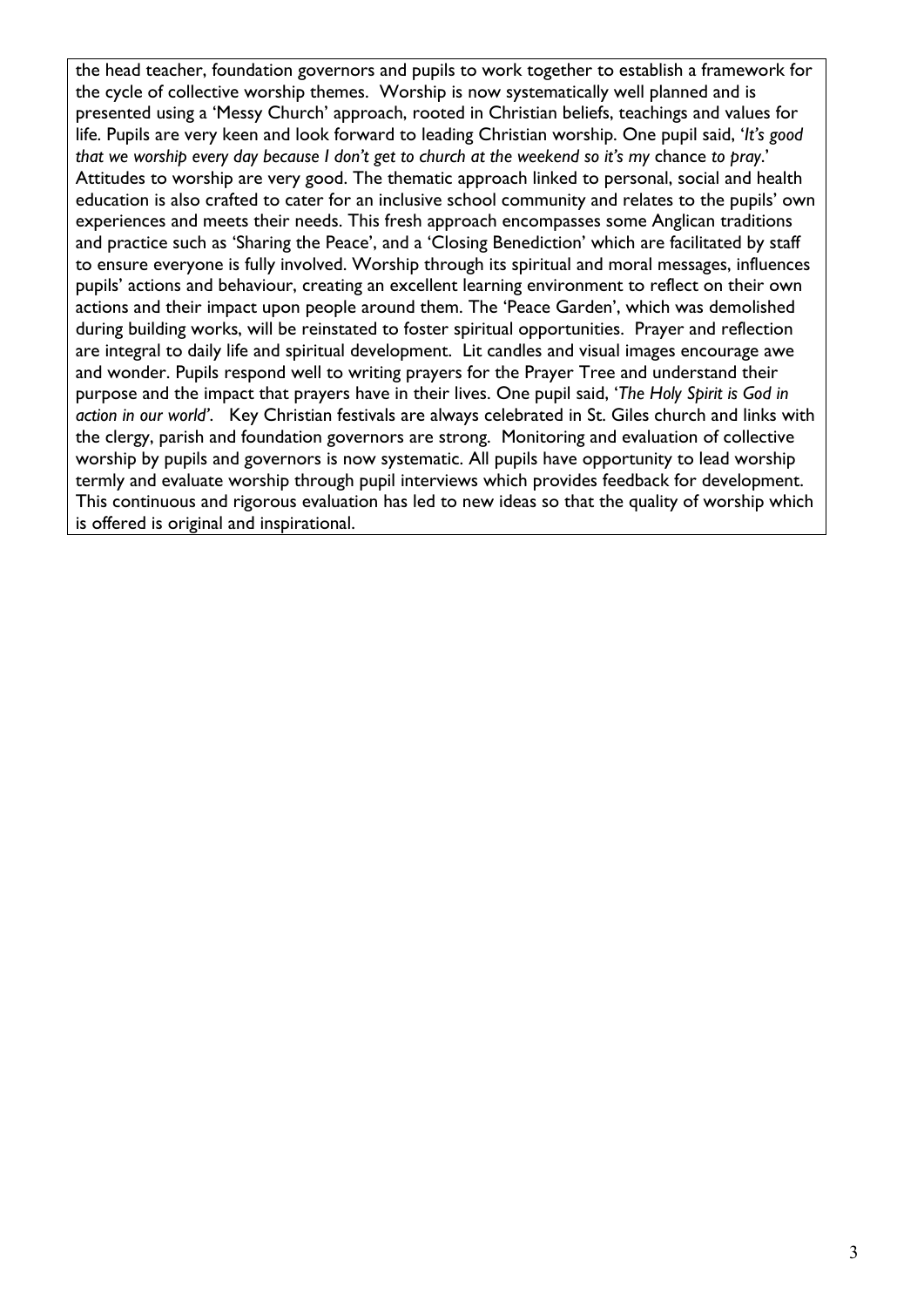the head teacher, foundation governors and pupils to work together to establish a framework for the cycle of collective worship themes. Worship is now systematically well planned and is presented using a 'Messy Church' approach, rooted in Christian beliefs, teachings and values for life. Pupils are very keen and look forward to leading Christian worship. One pupil said, '*It's good that we worship every day because I don't get to church at the weekend so it's my* chance *to pray*.' Attitudes to worship are very good. The thematic approach linked to personal, social and health education is also crafted to cater for an inclusive school community and relates to the pupils' own experiences and meets their needs. This fresh approach encompasses some Anglican traditions and practice such as 'Sharing the Peace', and a 'Closing Benediction' which are facilitated by staff to ensure everyone is fully involved. Worship through its spiritual and moral messages, influences pupils' actions and behaviour, creating an excellent learning environment to reflect on their own actions and their impact upon people around them. The 'Peace Garden', which was demolished during building works, will be reinstated to foster spiritual opportunities. Prayer and reflection are integral to daily life and spiritual development. Lit candles and visual images encourage awe and wonder. Pupils respond well to writing prayers for the Prayer Tree and understand their purpose and the impact that prayers have in their lives. One pupil said, '*The Holy Spirit is God in action in our world'*.Key Christian festivals are always celebrated in St. Giles church and links with the clergy, parish and foundation governors are strong. Monitoring and evaluation of collective worship by pupils and governors is now systematic. All pupils have opportunity to lead worship termly and evaluate worship through pupil interviews which provides feedback for development. This continuous and rigorous evaluation has led to new ideas so that the quality of worship which is offered is original and inspirational.